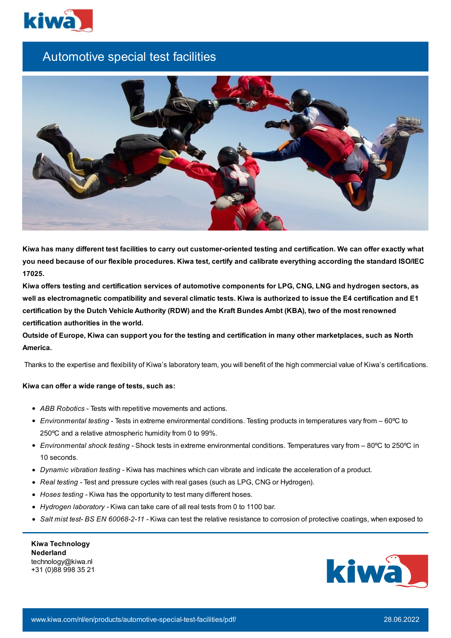

## Automotive special test facilities



Kiwa has many different test facilities to carry out customer-oriented testing and certification. We can offer exactly what you need because of our flexible procedures. Kiwa test, certify and calibrate everything according the standard ISO/IEC **17025.**

Kiwa offers testing and certification services of automotive components for LPG, CNG, LNG and hydrogen sectors, as well as electromagnetic compatibility and several climatic tests. Kiwa is authorized to issue the E4 certification and E1 certification by the Dutch Vehicle Authority (RDW) and the Kraft Bundes Ambt (KBA), two of the most renowned **certification authorities in the world.**

Outside of Europe, Kiwa can support you for the testing and certification in many other marketplaces, such as North **America.**

Thanks to the expertise and flexibility of Kiwa's laboratory team, you will benefit of the high commercial value of Kiwa's certifications.

## **Kiwa can offer a wide range of tests, such as:**

- *ABB Robotics* Tests with repetitive movements and actions.
- *Environmental testing* Tests in extreme environmental conditions. Testing products in temperatures vary from 60ºC to 250ºC and a relative atmospheric humidity from 0 to 99%.
- *Environmental shock testing -* Shock tests in extreme environmental conditions. Temperatures vary from 80ºC to 250ºC in 10 seconds.
- *Dynamic vibration testing* Kiwa has machines which can vibrate and indicate the acceleration of a product.
- *Real testing -* Test and pressure cycles with real gases (such as LPG, CNG or Hydrogen).
- *Hoses testing -* Kiwa has the opportunity to test many different hoses.
- *Hydrogen laboratory -* Kiwa can take care of all real tests from 0 to 1100 bar.
- *Salt mist test- BS EN 60068-2-11 -* Kiwa can test the relative resistance to corrosion of protective coatings, when exposed to

| <b>Kiwa Technology</b> |
|------------------------|
| <b>Nederland</b>       |
| technology@kiwa.nl     |
| +31 (0)88 998 35 21    |